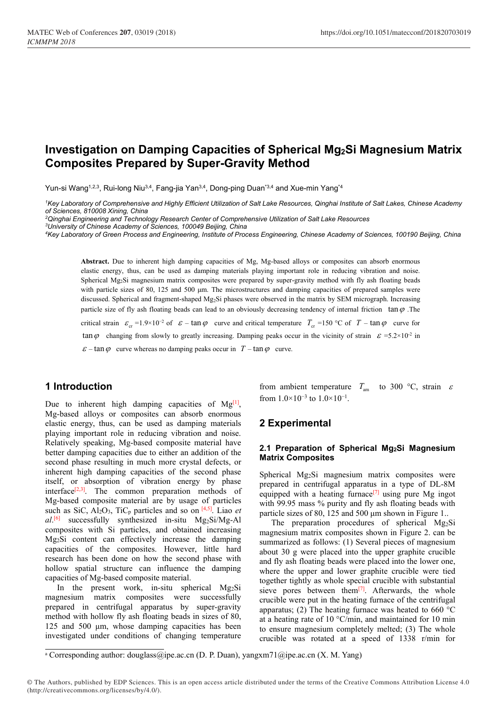# **Investigation on Damping Capacities of Spherical Mg2Si Magnesium Matrix Composites Prepared by Super-Gravity Method**

Yun-si Wang<sup>1,2,3</sup>, Rui-long Niu<sup>3,4</sup>, Fang-jia Yan<sup>3,4</sup>, Dong-ping Duan<sup>-3,4</sup> and Xue-min Yang<sup>-4</sup>  $*4$ 

<sup>1</sup>Key Laboratory of Comprehensive and Highly Efficient Utilization of Salt Lake Resources, Qinghai Institute of Salt Lakes, Chinese Academy *of Sciences, 810008 Xining, China*

*<sup>2</sup>Qinghai Engineering and Technology Research Center ofComprehensive Utilization of Salt Lake Resources*

*<sup>3</sup>University of Chinese Academy of Sciences, 100049 Beijing, China*

4Key Laboratory of Green Process and Engineering, Institute of Process Engineering, Chinese Academy of Sciences, 100190 Beijing, China

**Abstract.** Due to inherent high damping capacities of Mg, Mg-based alloys or composites can absorb enormous elastic energy, thus, can be used as damping materials playing important role in reducing vibration and noise. Spherical Mg2Si magnesium matrix composites were prepared by super-gravity method with fly ash floating beads with particle sizes of 80, 125 and 500 μm. The microstructures and damping capacities of prepared samples were discussed. Spherical and fragment-shaped Mg2Si phases were observed in the matrix by SEM micrograph. Increasing particle size of fly ash floating beads can lead to an obviously decreasing tendency of internal friction  $\tan \varphi$ . The

critical strain  $\varepsilon_{cr} = 1.9 \times 10^{-2}$  of  $\varepsilon - \tan \varphi$  curve and critical temperature  $T_{cr} = 150$  °C of  $T - \tan \varphi$  curve for

 $\tan \varphi$  changing from slowly to greatly increasing. Damping peaks occur in the vicinity of strain  $\varepsilon$  =5.2×10<sup>-2</sup> in in

 $\epsilon$  – tan  $\varphi$  curve whereas no damping peaks occur in *T* – tan  $\varphi$  curve.

# **1 Introduction**

Due to inherent high damping capacities of  $Mg^{[1]}$ , Mg-based alloys or composites can absorb enormous elastic energy, thus, can be used as damping materials playing important role in reducing vibration and noise.<br>Relatively speaking, Mg-based composite material have better damping capacities due to either an addition of the second phase resulting in much more crystal defects, or inherent high damping capacities of the second phase itself, or absorption of vibration energy by phase interface<sup>[2,3]</sup>. The common preparation methods of  $\frac{r}{\text{equipped}}$ Mg-based composite material are by usage of particles such as SiC,  $Al_2O_3$ , TiC<sub>p</sub> particles and so on  $[4,5]$ . Liao *et* narticle sizes of al.<sup>[6]</sup> successfully synthesized in-situ Mg<sub>2</sub>Si/Mg-Al The composites with Si particles, and obtained increasing Mg2Si content can effectively increase the damping capacities of the composites. However, little hard research has been done on how the second phase with hollow spatial structure can influence the damping capacities of Mg-based composite material.

In the present work, in-situ spherical Mg2Si magnesium matrix composites were successfully prepared in centrifugal apparatus by super-gravity method with hollow fly ash floating beads in sizes of 80, 125 and 500 μm, whose damping capacities has been investigated under conditions of changing temperature from ambient temperature  $T_{\text{am}}$  to 300 °C, strain  $\varepsilon$ from  $1.0 \times 10^{-3}$  to  $1.0 \times 10^{-1}$ . .

# **2 Experimental**

#### **2.1 Preparation of Spherical Mg2Si Magnesium Matrix Composites**

Spherical Mg2Si magnesium matrix composites were prepared in centrifugal apparatus in a type of DL-8M equipped with a heating furnace<sup>[7]</sup> using pure Mg ingot with 99.95 mass % purity and fly ash floating beads with particle sizes of 80,125 and 500 μm shown in Figure 1..

The preparation procedures of spherical Mg2Si magnesium matrix composites shown in Figure 2. can be summarized as follows: (1) Several pieces of magnesium about 30 g were placed into the upper graphite crucible and fly ash floating beads were placed into the lower one, where the upper and lower graphite crucible were tied together tightly as whole special crucible with substantial sieve pores between them $[7]$ . Afterwards, the whole crucible were put in the heating furnace of the centrifugal apparatus; (2) The heating furnace was heated to 660  $^{\circ}$ C at a heating rate of 10 °C/min, and maintained for 10 min to ensure magnesium completely melted; (3) The whole crucible was rotated at a speed of 1338 r/min for

<sup>&</sup>lt;sup>a</sup> Corresponding author: douglass@ipe.ac.cn (D. P. Duan), yangxm71@ipe.ac.cn (X. M. Yang)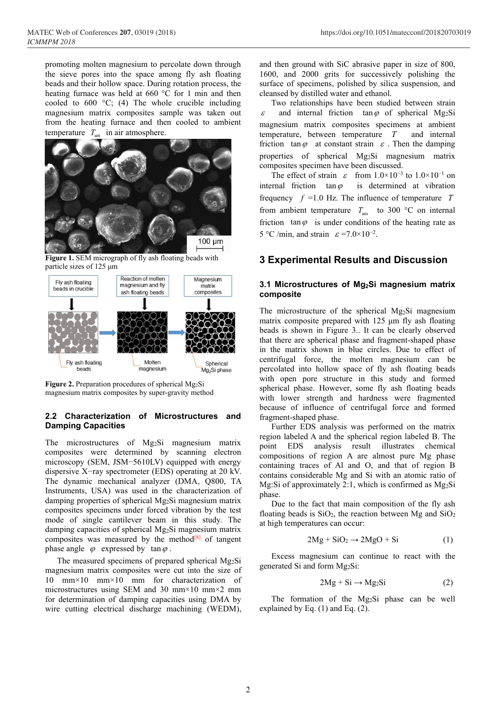promoting molten magnesium to percolate down through the sieve pores into the space among fly ash floating beads and their hollow space. During rotation process, the heating furnace was held at 660 °C for 1 min and then cooled to  $600 \text{ °C}$ ; (4) The whole crucible including magnesium matrix composites sample was taken out  $\varepsilon$ from the heating furnace and then cooled to ambient temperature  $T_{\text{am}}$  in air atmosphere.



**Figure 1.** SEM micrograph of fly ash floating beads with particle sizes of125 μm



**Figure 2.** Preparation procedures of spherical Mg<sub>2</sub>Si magnesium matrix composites by super-gravity method

#### **2.2 Characterization of Microstructures and Damping Capacities**

The microstructures of Mg2Si magnesium matrix composites were determined by scanning electron microscopy (SEM, JSM−5610LV) equipped with energy dispersive X−ray spectrometer (EDS) operating at 20 kV. The dynamic mechanical analyzer (DMA, Q800, TA Instruments, USA) was used in the characterization of damping properties of spherical Mg2Si magnesium matrix composites specimens under forced vibration by the test mode of single cantilever beam in this study. The damping capacities of spherical  $Mg_2Si$  magnesium matrix composites was measured by the method $[8]$  of tangent phase angle  $\varphi$  expressed by tan  $\varphi$ .

The measured specimens of prepared spherical Mg2Si magnesium matrix composites were cut into the size of 10 mm×10 mm×10 mm for characterization of microstructures using SEM and 30 mm×10 mm×2 mm for determination of damping capacities using DMA by wire cutting electrical discharge machining (WEDM),

and then ground with SiC abrasive paperin size of 800, 1600, and 2000 grits for successively polishing the surface of specimens, polished by silica suspension, and cleansed by distilled water and ethanol.

Two relationships have been studied between strain and internal friction tan  $\varphi$  of spherical Mg<sub>2</sub>Si magnesium matrix composites specimens at ambient temperature, between temperature *T* and internal friction tan  $\varphi$  at constant strain  $\varepsilon$ . Then the damping properties of spherical Mg2Si magnesium matrix composites specimen have been discussed.

The effect of strain  $\varepsilon$  from  $1.0 \times 10^{-3}$  to  $1.0 \times 10^{-1}$  on internal friction  $tan \varphi$  is determined at vibration frequency  $f = 1.0$  Hz. The influence of temperature *T* from ambient temperature  $T_{\text{am}}$  to 300 °C on internal friction  $tan \varphi$  is under conditions of the heating rate as 5 °C /min, and strain  $\varepsilon$  =7.0×10<sup>-2</sup>. .

## **3 Experimental Results and Discussion**

#### **3.1 Microstructures of Mg2Si magnesium matrix composite**

The microstructure of the spherical Mg2Si magnesium matrix composite prepared with 125 μm fly ash floating beads is shown in Figure 3.. It can be clearly observed that there are spherical phase and fragment-shaped phase in the matrix shown in blue circles. Due to effect of centrifugal force, the molten magnesium can be percolated into hollow space of fly ash floating beads with open pore structure in this study and formed spherical phase. However, some fly ash floating beads with lower strength and hardness were fragmented because of influence of centrifugal force and formed fragment-shaped phase.

Further EDS analysis was performed on the matrix region labeled A and the spherical region labeled B. The point EDS analysis result illustrates chemical compositions of region A are almost pure Mg phase containing traces of Al and O, and that of region B contains considerable Mg and Si with an atomic ratio of Mg:Si of approximately 2:1, which is confirmed as Mg2Si phase.

Due to the fact that main composition of the fly ash floating beads is  $SiO<sub>2</sub>$ , the reaction between Mg and  $SiO<sub>2</sub>$ at high temperatures can occur:

$$
2\text{Mg} + \text{SiO}_2 \rightarrow 2\text{MgO} + \text{Si} \tag{1}
$$

Excess magnesium can continue to react with the generated Si and form Mg2Si:

$$
2Mg + Si \rightarrow Mg_2Si \tag{2}
$$

The formation of the Mg2Si phase can be well explained by Eq. (1) and Eq. (2).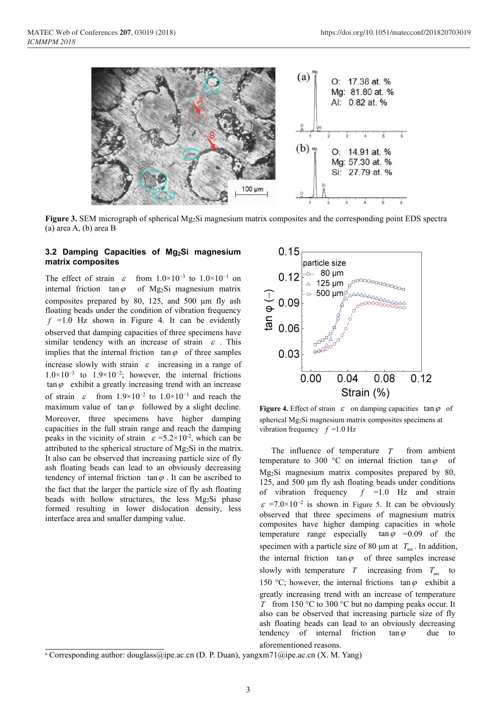

**Figure 3.** SEM micrograph of spherical Mg2Si magnesium matrix composites and the corresponding point EDS spectra (a) area A, (b) area B

## **3.2 Damping Capacities of Mg2Si magnesium matrix composites**

The effect of strain  $\varepsilon$  from  $1.0 \times 10^{-3}$  to  $1.0 \times 10^{-1}$  on  $0.12\begin{bmatrix} 0 & 0 \\ 0 & 1 \end{bmatrix}$ internal friction tan $\varphi$  of Mg<sub>2</sub>Si magnesium matrix composites prepared by 80, 125, and 500  $\mu$ m fly ash  $\sim 0.09$ floating beads under the condition of vibration frequency  $f = 1.0$  Hz shown in Figure 4. It can be evidently<br>observed that doming conscition of three gracimons have observed that damping capacities of three specimens have similar tendency with an increase of strain  $\varepsilon$ . This implies that the internal friction  $\tan \varphi$  of three samples 0.03 increase slowly with strain  $\varepsilon$  increasing in a range of  $1.0 \times 10^{-3}$  to  $1.9 \times 10^{-2}$ ; however, the internal frictions  $1.0 \times 10^{-3}$  to  $1.9 \times 10^{-2}$ ; however, the internal frictions  $0.00$ <br>tan  $\varphi$  exhibit a greatly increasing trend with an increase of strain  $\varepsilon$  from  $1.9 \times 10^{-2}$  to  $1.0 \times 10^{-1}$  and reach the maximum value of  $tan \varphi$  followed by a slight decline. Moreover, three specimens have higher damping capacities in the full strain range and reach the damping peaks in the vicinity of strain  $\varepsilon = 5.2 \times 10^{-2}$ , which can be attributed to the spherical structure of Mg2Si in the matrix. It also can be observed that increasing particle size of fly ash floating beads can lead to an obviously decreasing tendency of internal friction  $tan \varphi$ . It can be ascribed to the fact that the larger the particle size of fly ash floating of vibration frequency beads with hollow structures, the less Mg2Si phase formed resulting in lower dislocation density, less interface area and smaller damping value.



**Figure 4.** Effect of strain  $\varepsilon$  on damping capacities tan  $\varphi$  of spherical Mg2Si magnesium matrix composites specimens at vibration frequency  $f = 1.0$  Hz

The influence of temperature *T* from ambient temperature to 300 °C on internal friction tan  $\varphi$  of Mg2Si magnesium matrix composites prepared by 80, 125, and 500 μm fly ash floating beads under conditions  $f = 1.0$  Hz and strain  $\varepsilon$  =7.0×10<sup>-2</sup> is shown in Figure 5. It can be obviously observed that three specimens of magnesium matrix composites have higher damping capacities in whole temperature range especially tan  $\varphi$  =0.09 of the specimen with a particle size of 80  $\mu$ m at  $T_{am}$ . In addition, the internal friction  $tan \varphi$  of three samples increase slowly with temperature  $T$  increasing from  $T_{\text{am}}$  to to 150 °C; however, the internal frictions  $\tan \varphi$  exhibit a greatly increasing trend with an increase of temperature *T* from 150 °C to 300 °C but no damping peaks occur. It also can be observed that increasing particle size of fly ash floating beads can lead to an obviously decreasing tendency of internal friction  $tan \varphi$  due to aforementioned reasons.

<sup>&</sup>lt;sup>a</sup> Corresponding author: douglass@ipe.ac.cn (D. P. Duan), yangxm71@ipe.ac.cn (X. M. Yang)